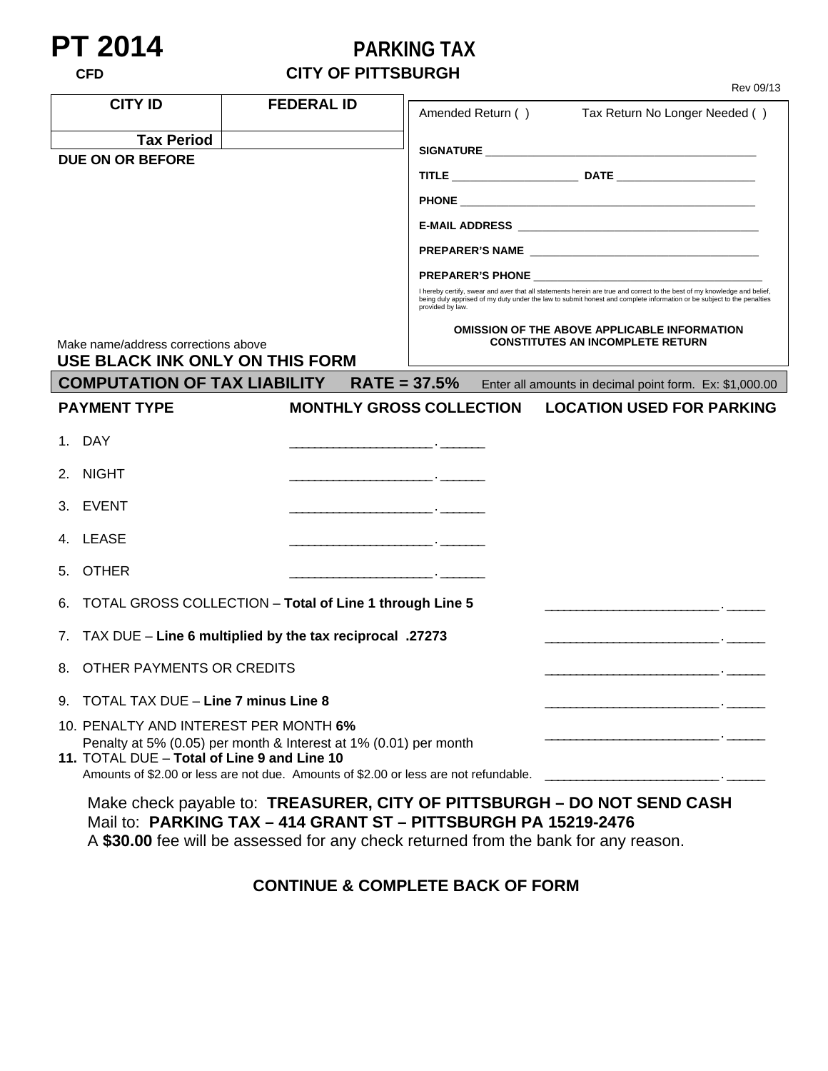## **PT 2014**<br> **PARKING TAX**<br> **CITY OF PITTSBURGH**<br>
PARKING TAX

|                                                                        |                                                                                                                                                          | Rev 09/13                                                                                                                                                                                                                                                             |
|------------------------------------------------------------------------|----------------------------------------------------------------------------------------------------------------------------------------------------------|-----------------------------------------------------------------------------------------------------------------------------------------------------------------------------------------------------------------------------------------------------------------------|
| <b>CITY ID</b>                                                         | <b>FEDERAL ID</b>                                                                                                                                        | Amended Return () Tax Return No Longer Needed ()                                                                                                                                                                                                                      |
| <b>Tax Period</b>                                                      |                                                                                                                                                          |                                                                                                                                                                                                                                                                       |
| <b>DUE ON OR BEFORE</b>                                                |                                                                                                                                                          |                                                                                                                                                                                                                                                                       |
|                                                                        |                                                                                                                                                          |                                                                                                                                                                                                                                                                       |
|                                                                        |                                                                                                                                                          |                                                                                                                                                                                                                                                                       |
|                                                                        |                                                                                                                                                          |                                                                                                                                                                                                                                                                       |
|                                                                        |                                                                                                                                                          |                                                                                                                                                                                                                                                                       |
|                                                                        |                                                                                                                                                          | I hereby certify, swear and aver that all statements herein are true and correct to the best of my knowledge and belief,<br>being duly apprised of my duty under the law to submit honest and complete information or be subject to the penalties<br>provided by law. |
|                                                                        |                                                                                                                                                          | <b>OMISSION OF THE ABOVE APPLICABLE INFORMATION</b><br><b>CONSTITUTES AN INCOMPLETE RETURN</b>                                                                                                                                                                        |
| Make name/address corrections above<br>USE BLACK INK ONLY ON THIS FORM |                                                                                                                                                          |                                                                                                                                                                                                                                                                       |
| <b>COMPUTATION OF TAX LIABILITY</b>                                    |                                                                                                                                                          | RATE = 37.5% Enter all amounts in decimal point form. Ex: \$1,000.00                                                                                                                                                                                                  |
| <b>PAYMENT TYPE</b>                                                    |                                                                                                                                                          | <b>MONTHLY GROSS COLLECTION LOCATION USED FOR PARKING</b>                                                                                                                                                                                                             |
| 1. DAY                                                                 |                                                                                                                                                          |                                                                                                                                                                                                                                                                       |
| 2. NIGHT                                                               |                                                                                                                                                          |                                                                                                                                                                                                                                                                       |
| 3. EVENT                                                               | <u> 1989 - Andrea Aonaich, ann an t-Aonaich an t-Aonaich an t-Aonaich an t-Aonaich an t-Aonaich an t-Aonaich an t-</u>                                   |                                                                                                                                                                                                                                                                       |
| 4. LEASE                                                               | <u> 1980 - Jan James, maria et al. (</u> † 1920)                                                                                                         |                                                                                                                                                                                                                                                                       |
| <b>OTHER</b><br>5.                                                     | <u> 1980 - Andrea Andrew Maria (h. 1980).</u>                                                                                                            |                                                                                                                                                                                                                                                                       |
| 6.                                                                     | TOTAL GROSS COLLECTION - Total of Line 1 through Line 5                                                                                                  |                                                                                                                                                                                                                                                                       |
|                                                                        | 7. TAX DUE - Line 6 multiplied by the tax reciprocal .27273                                                                                              | <u> 1980 - Jan Barnett, fransk politik (f. 1980)</u>                                                                                                                                                                                                                  |
| OTHER PAYMENTS OR CREDITS<br>8.                                        |                                                                                                                                                          | <u> 1980 - Jan Samuel Barbara, político e por establecer a la provincia de la provincia de la provincia de la pro</u>                                                                                                                                                 |
| 9. TOTAL TAX DUE - Line 7 minus Line 8                                 |                                                                                                                                                          |                                                                                                                                                                                                                                                                       |
| 10. PENALTY AND INTEREST PER MONTH 6%                                  |                                                                                                                                                          |                                                                                                                                                                                                                                                                       |
| 11. TOTAL DUE - Total of Line 9 and Line 10                            | Penalty at 5% (0.05) per month & Interest at 1% (0.01) per month<br>Amounts of \$2.00 or less are not due. Amounts of \$2.00 or less are not refundable. |                                                                                                                                                                                                                                                                       |
|                                                                        |                                                                                                                                                          | Make check payable to: TREASURER, CITY OF PITTSBURGH - DO NOT SEND CASH<br>Mail to: PARKING TAX - 414 GRANT ST - PITTSBURGH PA 15219-2476                                                                                                                             |

A **\$30.00** fee will be assessed for any check returned from the bank for any reason.

## **CONTINUE & COMPLETE BACK OF FORM**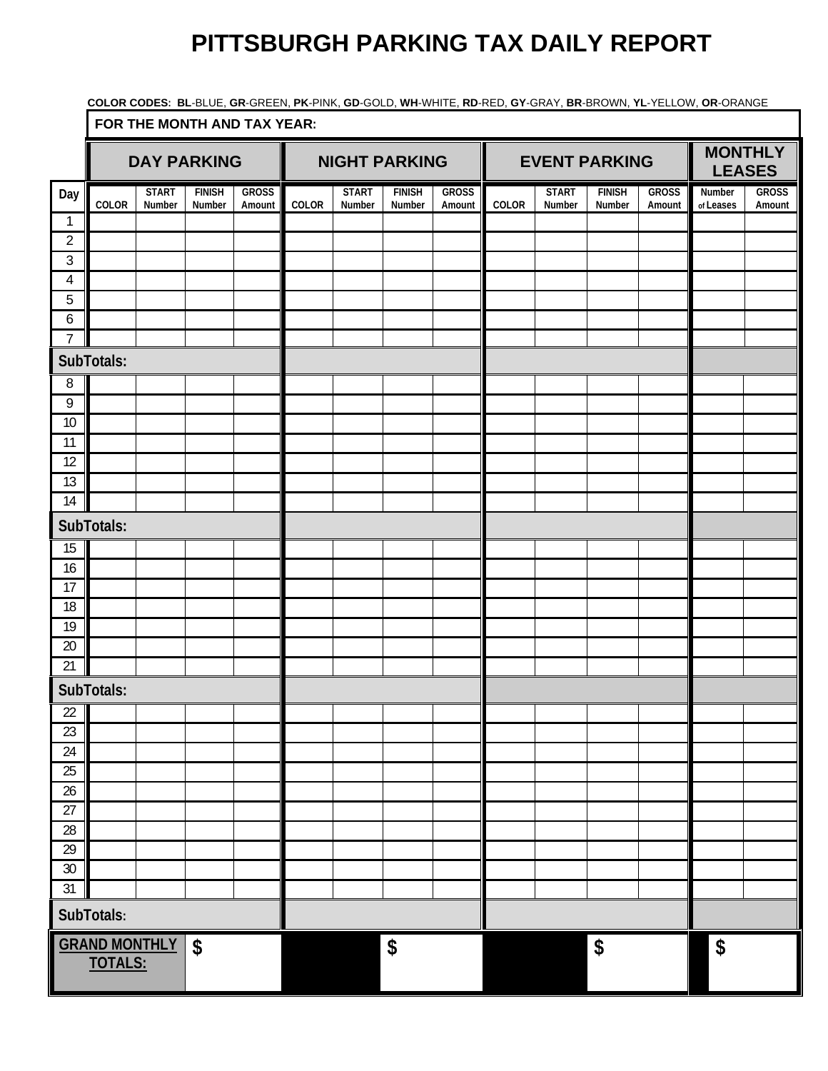## **PITTSBURGH PARKING TAX DAILY REPORT**

 **COLOR CODES: BL**-BLUE, **GR**-GREEN, **PK**-PINK, **GD**-GOLD, **WH**-WHITE, **RD**-RED, **GY**-GRAY, **BR**-BROWN, **YL**-YELLOW, **OR**-ORANGE

|                                              | FOR THE MONTH AND TAX YEAR: |                        |                         |                        |                            |                        |                         |                            |       |                        |                         |                                 |                     |                        |
|----------------------------------------------|-----------------------------|------------------------|-------------------------|------------------------|----------------------------|------------------------|-------------------------|----------------------------|-------|------------------------|-------------------------|---------------------------------|---------------------|------------------------|
|                                              | <b>DAY PARKING</b>          |                        |                         |                        | <b>NIGHT PARKING</b>       |                        |                         | <b>EVENT PARKING</b>       |       |                        |                         | <b>MONTHLY</b><br><b>LEASES</b> |                     |                        |
| Day                                          | COLOR                       | <b>START</b><br>Number | <b>FINISH</b><br>Number | <b>GROSS</b><br>Amount | COLOR                      | <b>START</b><br>Number | <b>FINISH</b><br>Number | <b>GROSS</b><br>Amount     | COLOR | <b>START</b><br>Number | <b>FINISH</b><br>Number | <b>GROSS</b><br>Amount          | Number<br>of Leases | <b>GROSS</b><br>Amount |
| $\mathbf{1}$                                 |                             |                        |                         |                        |                            |                        |                         |                            |       |                        |                         |                                 |                     |                        |
| $\overline{2}$                               |                             |                        |                         |                        |                            |                        |                         |                            |       |                        |                         |                                 |                     |                        |
| $\mathfrak{Z}$                               |                             |                        |                         |                        |                            |                        |                         |                            |       |                        |                         |                                 |                     |                        |
| $\overline{4}$                               |                             |                        |                         |                        |                            |                        |                         |                            |       |                        |                         |                                 |                     |                        |
| 5<br>6                                       |                             |                        |                         |                        |                            |                        |                         |                            |       |                        |                         |                                 |                     |                        |
| $\overline{7}$                               |                             |                        |                         |                        |                            |                        |                         |                            |       |                        |                         |                                 |                     |                        |
|                                              | SubTotals:                  |                        |                         |                        |                            |                        |                         |                            |       |                        |                         |                                 |                     |                        |
| 8                                            |                             |                        |                         |                        |                            |                        |                         |                            |       |                        |                         |                                 |                     |                        |
| $\,9$                                        |                             |                        |                         |                        |                            |                        |                         |                            |       |                        |                         |                                 |                     |                        |
| 10                                           |                             |                        |                         |                        |                            |                        |                         |                            |       |                        |                         |                                 |                     |                        |
| 11                                           |                             |                        |                         |                        |                            |                        |                         |                            |       |                        |                         |                                 |                     |                        |
| 12                                           |                             |                        |                         |                        |                            |                        |                         |                            |       |                        |                         |                                 |                     |                        |
| 13<br>14                                     |                             |                        |                         |                        |                            |                        |                         |                            |       |                        |                         |                                 |                     |                        |
|                                              |                             |                        |                         |                        |                            |                        |                         |                            |       |                        |                         |                                 |                     |                        |
| SubTotals:                                   |                             |                        |                         |                        |                            |                        |                         |                            |       |                        |                         |                                 |                     |                        |
| 15                                           |                             |                        |                         |                        |                            |                        |                         |                            |       |                        |                         |                                 |                     |                        |
| 16<br>17                                     |                             |                        |                         |                        |                            |                        |                         |                            |       |                        |                         |                                 |                     |                        |
| 18                                           |                             |                        |                         |                        |                            |                        |                         |                            |       |                        |                         |                                 |                     |                        |
| 19                                           |                             |                        |                         |                        |                            |                        |                         |                            |       |                        |                         |                                 |                     |                        |
| 20                                           |                             |                        |                         |                        |                            |                        |                         |                            |       |                        |                         |                                 |                     |                        |
| 21                                           |                             |                        |                         |                        |                            |                        |                         |                            |       |                        |                         |                                 |                     |                        |
|                                              | SubTotals:                  |                        |                         |                        |                            |                        |                         |                            |       |                        |                         |                                 |                     |                        |
| $\overline{22}$                              |                             |                        |                         |                        |                            |                        |                         |                            |       |                        |                         |                                 |                     |                        |
| 23                                           |                             |                        |                         |                        |                            |                        |                         |                            |       |                        |                         |                                 |                     |                        |
| 24                                           |                             |                        |                         |                        |                            |                        |                         |                            |       |                        |                         |                                 |                     |                        |
| 25                                           |                             |                        |                         |                        |                            |                        |                         |                            |       |                        |                         |                                 |                     |                        |
| 26<br>$\overline{27}$                        |                             |                        |                         |                        |                            |                        |                         |                            |       |                        |                         |                                 |                     |                        |
| 28                                           |                             |                        |                         |                        |                            |                        |                         |                            |       |                        |                         |                                 |                     |                        |
| 29                                           |                             |                        |                         |                        |                            |                        |                         |                            |       |                        |                         |                                 |                     |                        |
| $30\,$                                       |                             |                        |                         |                        |                            |                        |                         |                            |       |                        |                         |                                 |                     |                        |
| 31                                           |                             |                        |                         |                        |                            |                        |                         |                            |       |                        |                         |                                 |                     |                        |
| SubTotals:                                   |                             |                        |                         |                        |                            |                        |                         |                            |       |                        |                         |                                 |                     |                        |
| <b>GRAND MONTHLY</b><br>\$<br><b>TOTALS:</b> |                             | \$                     |                         |                        | $\boldsymbol{\mathsf{\$}}$ |                        |                         | $\boldsymbol{\mathsf{\$}}$ |       |                        |                         |                                 |                     |                        |